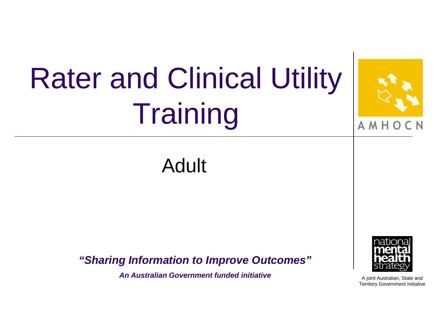### Rater and Clinical Utility **Training** A M H Adult *"Sharing Information to Improve Outcomes" An Australian Government funded initiative*A joint Australian, State and Territory Government Initiative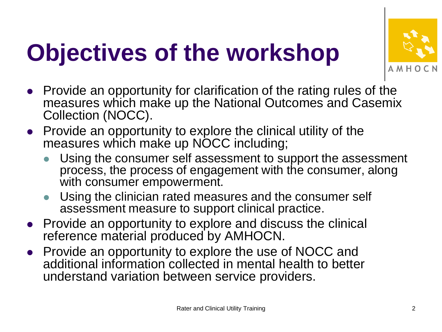### **Objectives of the workshop**



- Provide an opportunity for clarification of the rating rules of the measures which make up the National Outcomes and Casemix Collection (NOCC).
- Provide an opportunity to explore the clinical utility of the measures which make up NOCC including;
	- Using the consumer self assessment to support the assessment process, the process of engagement with the consumer, along with consumer empowerment.
	- Using the clinician rated measures and the consumer self assessment measure to support clinical practice.
- Provide an opportunity to explore and discuss the clinical reference material produced by AMHOCN.
- Provide an opportunity to explore the use of NOCC and additional information collected in mental health to better understand variation between service providers.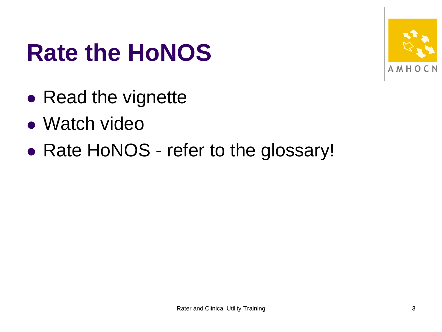

#### **Rate the HoNOS**

- Read the vignette
- Watch video
- Rate HoNOS refer to the glossary!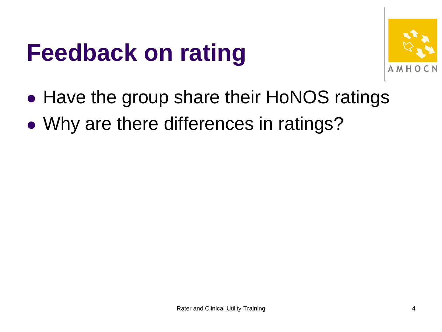#### **Feedback on rating**



- Have the group share their HoNOS ratings
- Why are there differences in ratings?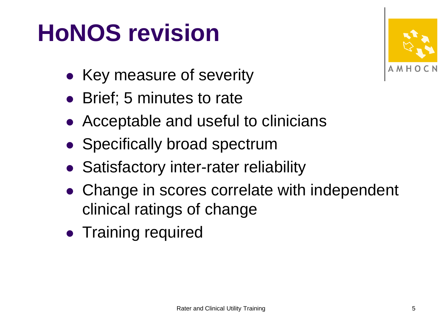#### **HoNOS revision**



- Key measure of severity
- Brief; 5 minutes to rate
- Acceptable and useful to clinicians
- Specifically broad spectrum
- **Satisfactory inter-rater reliability**
- Change in scores correlate with independent clinical ratings of change
- Training required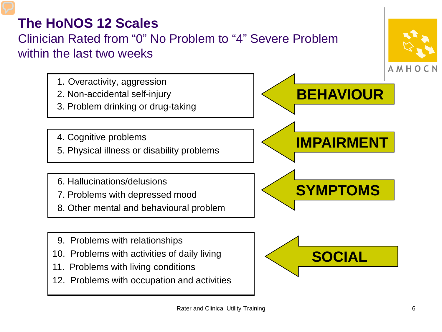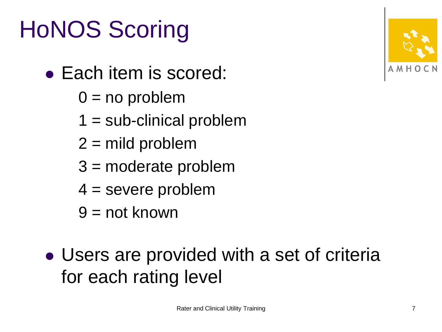#### HoNOS Scoring

- Each item is scored:
	- $0 = no$  problem
	- $1 = sub-clinical problem$
	- $2 =$  mild problem
	- 3 = moderate problem
	- $4 =$  severe problem
	- 9 = not known
- Users are provided with a set of criteria for each rating level

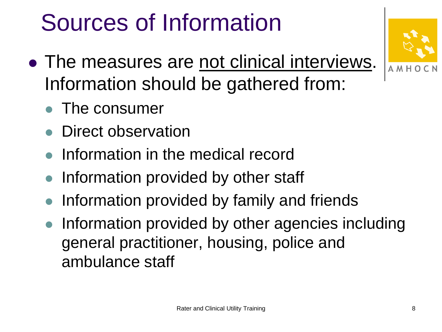#### Sources of Information

- The measures are not clinical interviews. Information should be gathered from:
	- The consumer
	- Direct observation
	- Information in the medical record
	- Information provided by other staff
	- Information provided by family and friends
	- Information provided by other agencies including general practitioner, housing, police and ambulance staff



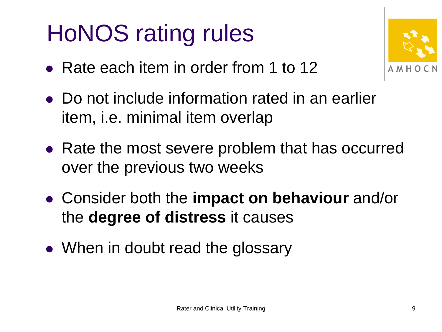#### HoNOS rating rules

• Rate each item in order from 1 to 12



- Do not include information rated in an earlier item, i.e. minimal item overlap
- Rate the most severe problem that has occurred over the previous two weeks
- Consider both the **impact on behaviour** and/or the **degree of distress** it causes
- When in doubt read the glossary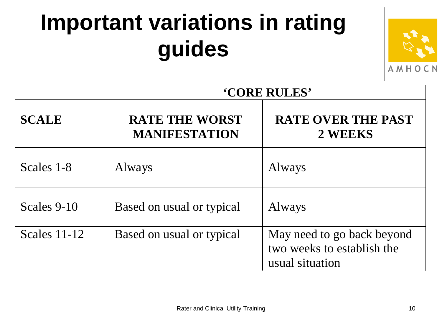#### **Important variations in rating guides**



|              | <b>'CORE RULES'</b>                           |                                                                             |  |  |
|--------------|-----------------------------------------------|-----------------------------------------------------------------------------|--|--|
| <b>SCALE</b> | <b>RATE THE WORST</b><br><b>MANIFESTATION</b> | <b>RATE OVER THE PAST</b><br>2 WEEKS                                        |  |  |
| Scales 1-8   | <b>Always</b>                                 | Always                                                                      |  |  |
| Scales 9-10  | Based on usual or typical                     | Always                                                                      |  |  |
| Scales 11-12 | Based on usual or typical                     | May need to go back beyond<br>two weeks to establish the<br>usual situation |  |  |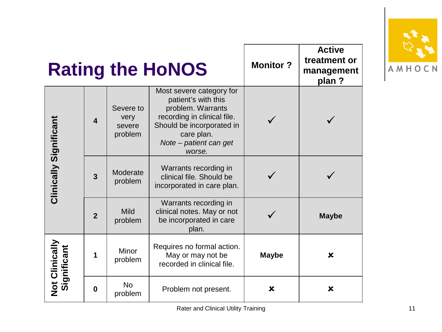|                               |                         |                                        | <b>Rating the HoNOS</b>                                                                                                                                                            | <b>Monitor?</b>           | <b>Active</b><br>treatment or<br>management<br>plan? |
|-------------------------------|-------------------------|----------------------------------------|------------------------------------------------------------------------------------------------------------------------------------------------------------------------------------|---------------------------|------------------------------------------------------|
| Clinically Significant        | $\overline{\mathbf{4}}$ | Severe to<br>very<br>severe<br>problem | Most severe category for<br>patient's with this<br>problem. Warrants<br>recording in clinical file.<br>Should be incorporated in<br>care plan.<br>Note - patient can get<br>worse. |                           |                                                      |
|                               | $\overline{3}$          | Moderate<br>problem                    | Warrants recording in<br>clinical file. Should be<br>incorporated in care plan.                                                                                                    |                           |                                                      |
|                               | $\overline{2}$          | Mild<br>problem                        | Warrants recording in<br>clinical notes. May or not<br>be incorporated in care<br>plan.                                                                                            |                           | <b>Maybe</b>                                         |
| Not Clinically<br>Significant | 1                       | Minor<br>problem                       | Requires no formal action.<br>May or may not be<br>recorded in clinical file.                                                                                                      | <b>Maybe</b>              | $\boldsymbol{\mathsf{x}}$                            |
|                               | $\mathbf{0}$            | <b>No</b><br>problem                   | Problem not present.                                                                                                                                                               | $\boldsymbol{\mathsf{x}}$ | $\boldsymbol{\mathsf{x}}$                            |

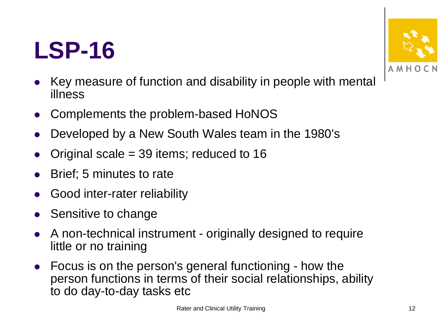#### **LSP-16**



- Key measure of function and disability in people with mental illness
- Complements the problem-based HoNOS
- Developed by a New South Wales team in the 1980's
- Original scale = 39 items; reduced to 16
- Brief; 5 minutes to rate
- Good inter-rater reliability
- Sensitive to change
- A non-technical instrument originally designed to require little or no training
- Focus is on the person's general functioning how the person functions in terms of their social relationships, ability to do day-to-day tasks etc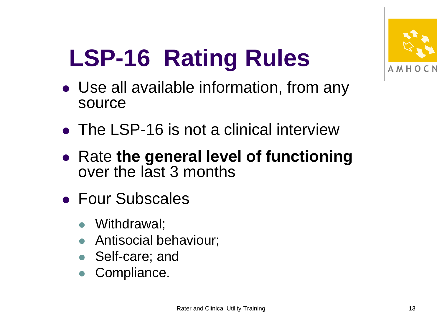

# **LSP-16 Rating Rules**

- Use all available information, from any source
- The LSP-16 is not a clinical interview
- Rate **the general level of functioning**  over the last 3 months
- Four Subscales
	- Withdrawal;
	- Antisocial behaviour;
	- Self-care; and
	- Compliance.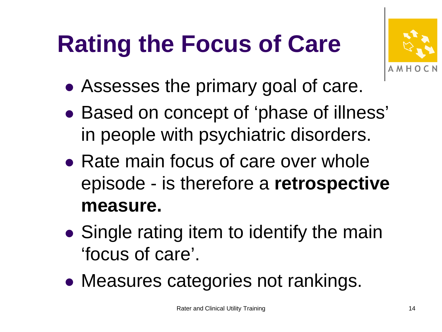### **Rating the Focus of Care**



- Assesses the primary goal of care.
- Based on concept of 'phase of illness' in people with psychiatric disorders.
- Rate main focus of care over whole episode - is therefore a **retrospective measure.**
- Single rating item to identify the main 'focus of care'.
- Measures categories not rankings.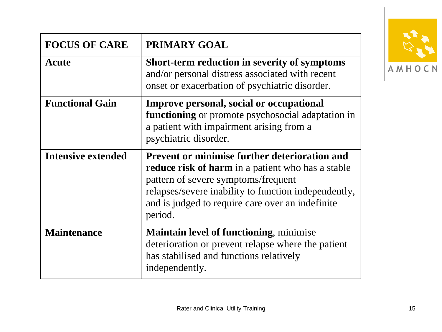| <b>FOCUS OF CARE</b>      | PRIMARY GOAL                                                                                                                                                                                                                                                                   |  |
|---------------------------|--------------------------------------------------------------------------------------------------------------------------------------------------------------------------------------------------------------------------------------------------------------------------------|--|
| Acute                     | Short-term reduction in severity of symptoms<br>and/or personal distress associated with recent<br>onset or exacerbation of psychiatric disorder.                                                                                                                              |  |
| <b>Functional Gain</b>    | <b>Improve personal, social or occupational</b><br>functioning or promote psychosocial adaptation in<br>a patient with impairment arising from a<br>psychiatric disorder.                                                                                                      |  |
| <b>Intensive extended</b> | <b>Prevent or minimise further deterioration and</b><br><b>reduce risk of harm</b> in a patient who has a stable<br>pattern of severe symptoms/frequent<br>relapses/severe inability to function independently,<br>and is judged to require care over an indefinite<br>period. |  |
| <b>Maintenance</b>        | <b>Maintain level of functioning, minimise</b><br>deterioration or prevent relapse where the patient<br>has stabilised and functions relatively<br>independently.                                                                                                              |  |

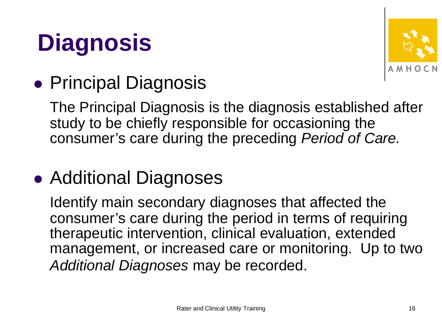### **Diagnosis**



#### **• Principal Diagnosis**

The Principal Diagnosis is the diagnosis established after study to be chiefly responsible for occasioning the consumer's care during the preceding *Period of Care.*

#### • Additional Diagnoses

Identify main secondary diagnoses that affected the consumer's care during the period in terms of requiring therapeutic intervention, clinical evaluation, extended management, or increased care or monitoring. Up to two *Additional Diagnoses* may be recorded.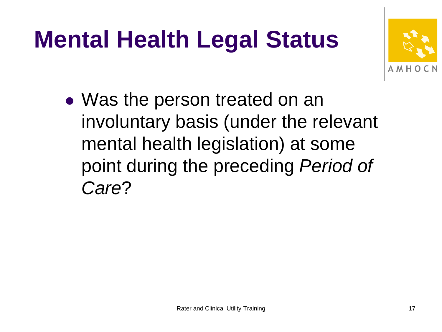## **Mental Health Legal Status**



 Was the person treated on an involuntary basis (under the relevant mental health legislation) at some point during the preceding *Period of Care*?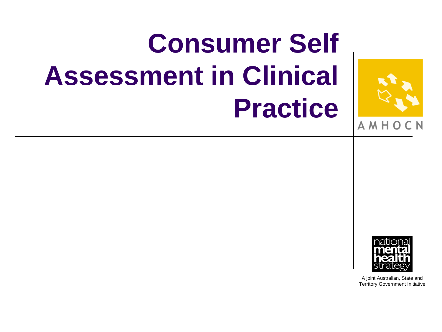# **Consumer Self Assessment in Clinical Practice**



A M H

A joint Australian, State and Territory Government Initiative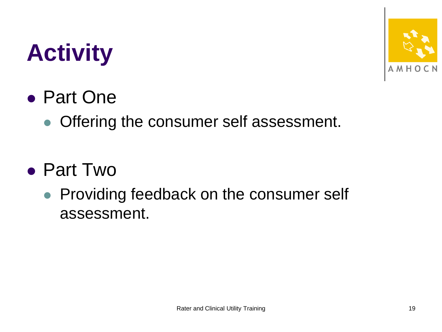#### **Activity**

#### Part One

• Offering the consumer self assessment.

#### Part Two

• Providing feedback on the consumer self assessment.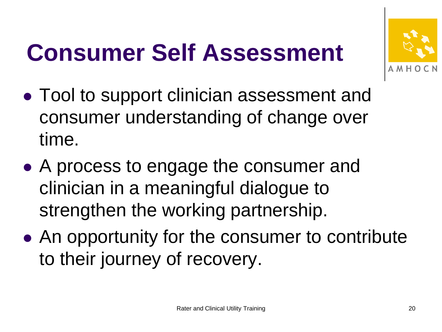#### **Consumer Self Assessment**



- Tool to support clinician assessment and consumer understanding of change over time.
- A process to engage the consumer and clinician in a meaningful dialogue to strengthen the working partnership.
- An opportunity for the consumer to contribute to their journey of recovery.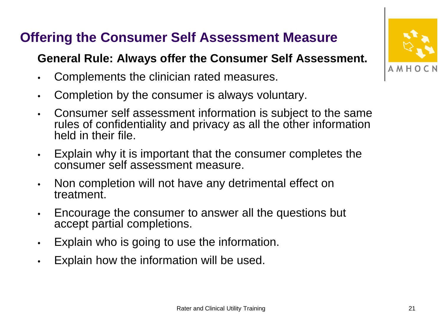#### **Offering the Consumer Self Assessment Measure**

#### **General Rule: Always offer the Consumer Self Assessment.**

- Complements the clinician rated measures.
- Completion by the consumer is always voluntary.
- Consumer self assessment information is subject to the same rules of confidentiality and privacy as all the other information held in their file.
- Explain why it is important that the consumer completes the consumer self assessment measure.
- Non completion will not have any detrimental effect on treatment.
- Encourage the consumer to answer all the questions but accept partial completions.
- Explain who is going to use the information.
- Explain how the information will be used.

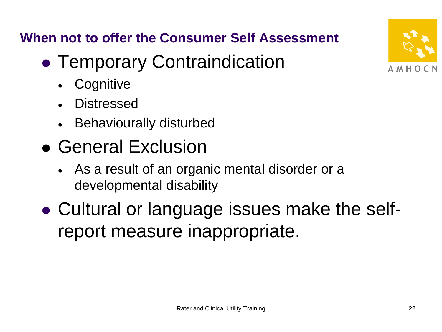**When not to offer the Consumer Self Assessment**

- **Temporary Contraindication** 
	- **Cognitive**
	- **Distressed**
	- Behaviourally disturbed
- General Exclusion
	- As a result of an organic mental disorder or a developmental disability
- Cultural or language issues make the selfreport measure inappropriate.

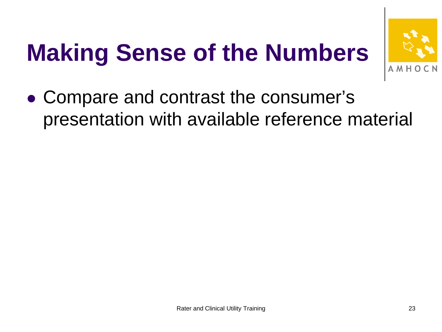## **Making Sense of the Numbers**



 Compare and contrast the consumer's presentation with available reference material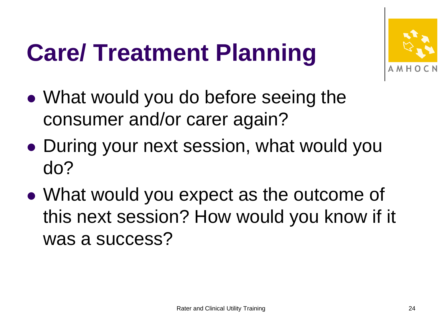#### **Care/ Treatment Planning**



- What would you do before seeing the consumer and/or carer again?
- During your next session, what would you do?
- What would you expect as the outcome of this next session? How would you know if it was a success?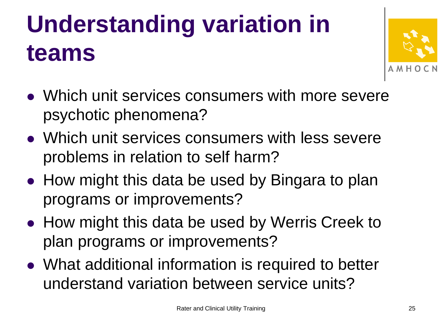### **Understanding variation in teams**



- Which unit services consumers with more severe psychotic phenomena?
- Which unit services consumers with less severe problems in relation to self harm?
- How might this data be used by Bingara to plan programs or improvements?
- How might this data be used by Werris Creek to plan programs or improvements?
- What additional information is required to better understand variation between service units?